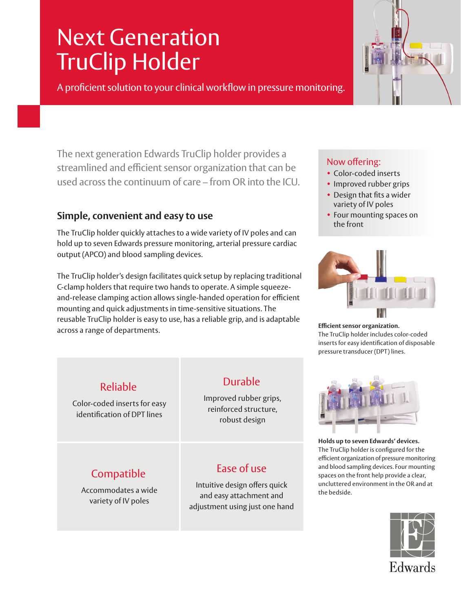# Next Generation TruClip Holder

A proficient solution to your clinical workflow in pressure monitoring.

The next generation Edwards TruClip holder provides a streamlined and efficient sensor organization that can be used across the continuum of care – from OR into the ICU.

## **Simple, convenient and easy to use**

The TruClip holder quickly attaches to a wide variety of IV poles and can hold up to seven Edwards pressure monitoring, arterial pressure cardiac output (APCO) and blood sampling devices.

The TruClip holder's design facilitates quick setup by replacing traditional C-clamp holders that require two hands to operate. A simple squeezeand-release clamping action allows single-handed operation for efficient mounting and quick adjustments in time-sensitive situations. The reusable TruClip holder is easy to use, has a reliable grip, and is adaptable across a range of departments.<br>across a range of departments.

#### Now offering:

- Color-coded inserts
- Improved rubber grips
- Design that fits a wider variety of IV poles
- Four mounting spaces on the front



The TruClip holder includes color-coded inserts for easy identification of disposable pressure transducer (DPT) lines.